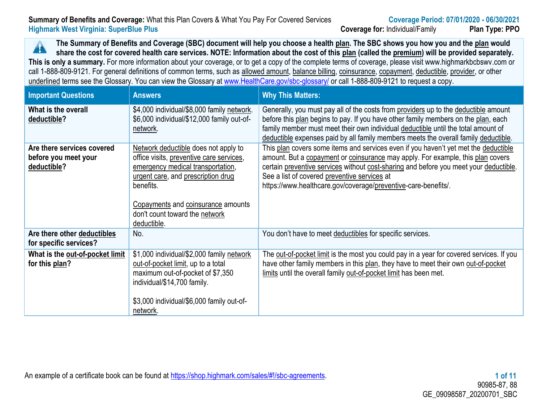# **Summary of Benefits and Coverage:** What this Plan Covers & What You Pay For Covered Services **Coverage Period: 07/01/2020 - 06/30/2021 Highmark West Virginia: SuperBlue Plus Coverage for:** Individual/Family **Plan Type: PPO**

**The Summary of Benefits and Coverage (SBC) document will help you choose a health plan. The SBC shows you how you and the plan would**   $\blacktriangle$ **share the cost for covered health care services. NOTE: Information about the cost of this plan (called the premium) will be provided separately. This is only a summary.** For more information about your coverage, or to get a copy of the complete terms of coverage, please visit www.highmarkbcbswv.com or call 1-888-809-9121. For general definitions of common terms, such as allowed amount, balance billing, coinsurance, copayment, deductible, provider, or other underlined terms see the Glossary. You can view the Glossary at [www.HealthCare.gov/sbc-glossary/](http://www.healthcare.gov/sbc-glossary/) or call 1-888-809-9121 to request a copy.

| <b>Important Questions</b>                                        | <b>Answers</b>                                                                                                                                                                                                                                                  | <b>Why This Matters:</b>                                                                                                                                                                                                                                                                                                                                                          |
|-------------------------------------------------------------------|-----------------------------------------------------------------------------------------------------------------------------------------------------------------------------------------------------------------------------------------------------------------|-----------------------------------------------------------------------------------------------------------------------------------------------------------------------------------------------------------------------------------------------------------------------------------------------------------------------------------------------------------------------------------|
| What is the overall<br>deductible?                                | \$4,000 individual/\$8,000 family network.<br>\$6,000 individual/\$12,000 family out-of-<br>network.                                                                                                                                                            | Generally, you must pay all of the costs from providers up to the deductible amount<br>before this plan begins to pay. If you have other family members on the plan, each<br>family member must meet their own individual deductible until the total amount of<br>deductible expenses paid by all family members meets the overall family deductible.                             |
| Are there services covered<br>before you meet your<br>deductible? | Network deductible does not apply to<br>office visits, preventive care services,<br>emergency medical transportation,<br>urgent care, and prescription drug<br>benefits.<br>Copayments and coinsurance amounts<br>don't count toward the network<br>deductible. | This plan covers some items and services even if you haven't yet met the deductible<br>amount. But a copayment or coinsurance may apply. For example, this plan covers<br>certain preventive services without cost-sharing and before you meet your deductible.<br>See a list of covered preventive services at<br>https://www.healthcare.gov/coverage/preventive-care-benefits/. |
| Are there other deductibles<br>for specific services?             | No.                                                                                                                                                                                                                                                             | You don't have to meet deductibles for specific services.                                                                                                                                                                                                                                                                                                                         |
| What is the out-of-pocket limit<br>for this plan?                 | \$1,000 individual/\$2,000 family network<br>out-of-pocket limit, up to a total<br>maximum out-of-pocket of \$7,350<br>individual/\$14,700 family.<br>\$3,000 individual/\$6,000 family out-of-<br>network.                                                     | The out-of-pocket limit is the most you could pay in a year for covered services. If you<br>have other family members in this plan, they have to meet their own out-of-pocket<br>limits until the overall family out-of-pocket limit has been met.                                                                                                                                |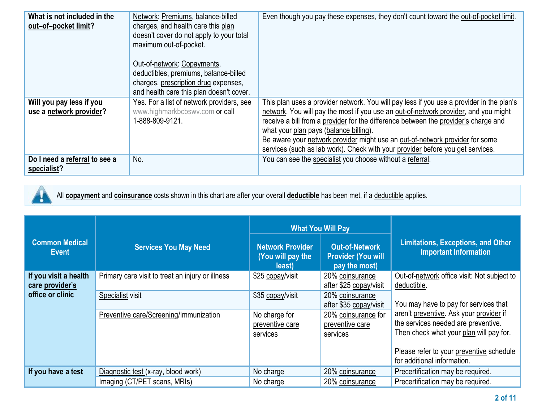| What is not included in the<br>out-of-pocket limit? | Network: Premiums, balance-billed<br>charges, and health care this plan<br>doesn't cover do not apply to your total<br>maximum out-of-pocket.<br>Out-of-network: Copayments,<br>deductibles, premiums, balance-billed<br>charges, prescription drug expenses,<br>and health care this plan doesn't cover. | Even though you pay these expenses, they don't count toward the out-of-pocket limit.                                                                                                                                                                                                                                                                                                                                                                                               |
|-----------------------------------------------------|-----------------------------------------------------------------------------------------------------------------------------------------------------------------------------------------------------------------------------------------------------------------------------------------------------------|------------------------------------------------------------------------------------------------------------------------------------------------------------------------------------------------------------------------------------------------------------------------------------------------------------------------------------------------------------------------------------------------------------------------------------------------------------------------------------|
| Will you pay less if you<br>use a network provider? | Yes. For a list of network providers, see<br>www.highmarkbcbswv.com or call<br>1-888-809-9121.                                                                                                                                                                                                            | This plan uses a provider network. You will pay less if you use a provider in the plan's<br>network. You will pay the most if you use an out-of-network provider, and you might<br>receive a bill from a provider for the difference between the provider's charge and<br>what your plan pays (balance billing).<br>Be aware your network provider might use an out-of-network provider for some<br>services (such as lab work). Check with your provider before you get services. |
| Do I need a referral to see a<br>specialist?        | No.                                                                                                                                                                                                                                                                                                       | You can see the specialist you choose without a referral.                                                                                                                                                                                                                                                                                                                                                                                                                          |



All **copayment** and **coinsurance** costs shown in this chart are after your overall **deductible** has been met, if a deductible applies.

| <b>Common Medical</b><br>Event                               | <b>Services You May Need</b>                                                                                   | <b>Network Provider</b><br>(You will pay the<br>least)                               | <b>What You Will Pay</b><br><b>Out-of-Network</b><br><b>Provider (You will</b><br>pay the most)                                              | <b>Limitations, Exceptions, and Other</b><br><b>Important Information</b>                                                                                                                                                                                                                                   |
|--------------------------------------------------------------|----------------------------------------------------------------------------------------------------------------|--------------------------------------------------------------------------------------|----------------------------------------------------------------------------------------------------------------------------------------------|-------------------------------------------------------------------------------------------------------------------------------------------------------------------------------------------------------------------------------------------------------------------------------------------------------------|
| If you visit a health<br>care provider's<br>office or clinic | Primary care visit to treat an injury or illness<br>Specialist visit<br>Preventive care/Screening/Immunization | \$25 copay/visit<br>\$35 copay/visit<br>No charge for<br>preventive care<br>services | 20% coinsurance<br>after \$25 copay/visit<br>20% coinsurance<br>after \$35 copay/visit<br>20% coinsurance for<br>preventive care<br>services | Out-of-network office visit: Not subject to<br>deductible.<br>You may have to pay for services that<br>aren't preventive. Ask your provider if<br>the services needed are preventive.<br>Then check what your plan will pay for.<br>Please refer to your preventive schedule<br>for additional information. |
| If you have a test                                           | Diagnostic test (x-ray, blood work)                                                                            | No charge                                                                            | 20% coinsurance                                                                                                                              | Precertification may be required.                                                                                                                                                                                                                                                                           |
|                                                              | Imaging (CT/PET scans, MRIs)                                                                                   | No charge                                                                            | 20% coinsurance                                                                                                                              | Precertification may be required.                                                                                                                                                                                                                                                                           |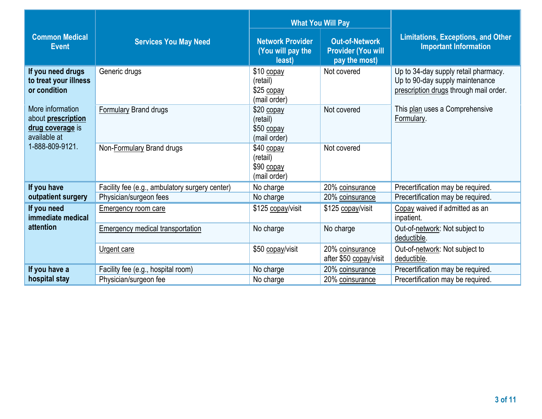|                                                                            |                                                | <b>What You Will Pay</b>                               |                                                                     |                                                                                                                   |
|----------------------------------------------------------------------------|------------------------------------------------|--------------------------------------------------------|---------------------------------------------------------------------|-------------------------------------------------------------------------------------------------------------------|
| <b>Common Medical</b><br><b>Event</b>                                      | <b>Services You May Need</b>                   | <b>Network Provider</b><br>(You will pay the<br>least) | <b>Out-of-Network</b><br><b>Provider (You will</b><br>pay the most) | <b>Limitations, Exceptions, and Other</b><br><b>Important Information</b>                                         |
| If you need drugs<br>to treat your illness<br>or condition                 | Generic drugs                                  | \$10 copay<br>(retail)<br>\$25 copay<br>(mail order)   | Not covered                                                         | Up to 34-day supply retail pharmacy.<br>Up to 90-day supply maintenance<br>prescription drugs through mail order. |
| More information<br>about prescription<br>drug coverage is<br>available at | <b>Formulary Brand drugs</b>                   | \$20 copay<br>(retail)<br>$$50$ copay<br>(mail order)  | Not covered                                                         | This plan uses a Comprehensive<br>Formulary.                                                                      |
| 1-888-809-9121.                                                            | Non-Formulary Brand drugs                      | $$40$ copay<br>(retail)<br>\$90 copay<br>(mail order)  | Not covered                                                         |                                                                                                                   |
| If you have                                                                | Facility fee (e.g., ambulatory surgery center) | No charge                                              | 20% coinsurance                                                     | Precertification may be required.                                                                                 |
| outpatient surgery                                                         | Physician/surgeon fees                         | No charge                                              | 20% coinsurance                                                     | Precertification may be required.                                                                                 |
| If you need<br>immediate medical                                           | <b>Emergency room care</b>                     | \$125 copay/visit                                      | \$125 copay/visit                                                   | Copay waived if admitted as an<br>inpatient.                                                                      |
| attention                                                                  | <b>Emergency medical transportation</b>        | No charge                                              | No charge                                                           | Out-of-network: Not subject to<br>deductible.                                                                     |
|                                                                            | Urgent care                                    | \$50 copay/visit                                       | 20% coinsurance<br>after \$50 copay/visit                           | Out-of-network: Not subject to<br>deductible.                                                                     |
| If you have a                                                              | Facility fee (e.g., hospital room)             | No charge                                              | 20% coinsurance                                                     | Precertification may be required.                                                                                 |
| hospital stay                                                              | Physician/surgeon fee                          | No charge                                              | 20% coinsurance                                                     | Precertification may be required.                                                                                 |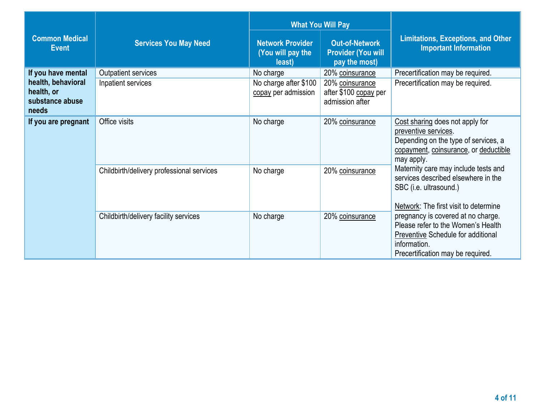|                                                              |                                           |                                                        | <b>What You Will Pay</b>                                            |                                                                                                                                                                            |  |
|--------------------------------------------------------------|-------------------------------------------|--------------------------------------------------------|---------------------------------------------------------------------|----------------------------------------------------------------------------------------------------------------------------------------------------------------------------|--|
| <b>Common Medical</b><br><b>Event</b>                        | <b>Services You May Need</b>              | <b>Network Provider</b><br>(You will pay the<br>least) | <b>Out-of-Network</b><br><b>Provider (You will</b><br>pay the most) | <b>Limitations, Exceptions, and Other</b><br><b>Important Information</b>                                                                                                  |  |
| If you have mental                                           | Outpatient services                       | No charge                                              | 20% coinsurance                                                     | Precertification may be required.                                                                                                                                          |  |
| health, behavioral<br>health, or<br>substance abuse<br>needs | Inpatient services                        | No charge after \$100<br>copay per admission           | 20% coinsurance<br>after \$100 copay per<br>admission after         | Precertification may be required.                                                                                                                                          |  |
| If you are pregnant                                          | Office visits                             | No charge                                              | 20% coinsurance                                                     | Cost sharing does not apply for<br>preventive services.<br>Depending on the type of services, a<br>copayment, coinsurance, or deductible<br>may apply.                     |  |
|                                                              | Childbirth/delivery professional services | No charge                                              | 20% coinsurance                                                     | Maternity care may include tests and<br>services described elsewhere in the<br>SBC (i.e. ultrasound.)<br>Network: The first visit to determine                             |  |
|                                                              | Childbirth/delivery facility services     | No charge                                              | 20% coinsurance                                                     | pregnancy is covered at no charge.<br>Please refer to the Women's Health<br><b>Preventive Schedule for additional</b><br>information.<br>Precertification may be required. |  |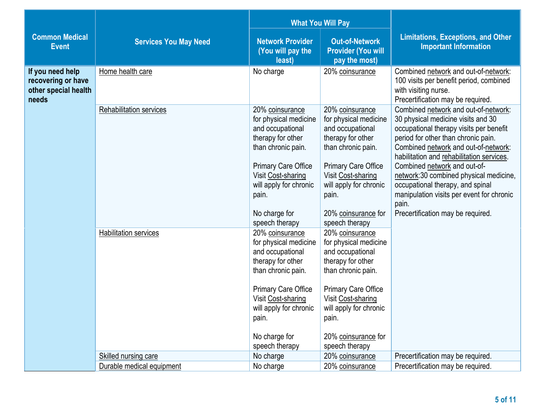|                                                                         |                                                   | <b>What You Will Pay</b>                                                                                                                                                                                                          |                                                                                                                                                                                                                                         |                                                                                                                                                                                                                                                                                                                                                                                                                                                             |
|-------------------------------------------------------------------------|---------------------------------------------------|-----------------------------------------------------------------------------------------------------------------------------------------------------------------------------------------------------------------------------------|-----------------------------------------------------------------------------------------------------------------------------------------------------------------------------------------------------------------------------------------|-------------------------------------------------------------------------------------------------------------------------------------------------------------------------------------------------------------------------------------------------------------------------------------------------------------------------------------------------------------------------------------------------------------------------------------------------------------|
| <b>Common Medical</b><br><b>Event</b>                                   | <b>Services You May Need</b>                      | <b>Network Provider</b><br>(You will pay the<br>least)                                                                                                                                                                            | <b>Out-of-Network</b><br><b>Provider (You will</b><br>pay the most)                                                                                                                                                                     | <b>Limitations, Exceptions, and Other</b><br><b>Important Information</b>                                                                                                                                                                                                                                                                                                                                                                                   |
| If you need help<br>recovering or have<br>other special health<br>needs | Home health care                                  | No charge                                                                                                                                                                                                                         | 20% coinsurance                                                                                                                                                                                                                         | Combined network and out-of-network:<br>100 visits per benefit period, combined<br>with visiting nurse.<br>Precertification may be required.                                                                                                                                                                                                                                                                                                                |
|                                                                         | <b>Rehabilitation services</b>                    | 20% coinsurance<br>for physical medicine<br>and occupational<br>therapy for other<br>than chronic pain.<br><b>Primary Care Office</b><br>Visit Cost-sharing<br>will apply for chronic<br>pain.<br>No charge for<br>speech therapy | 20% coinsurance<br>for physical medicine<br>and occupational<br>therapy for other<br>than chronic pain.<br><b>Primary Care Office</b><br>Visit Cost-sharing<br>will apply for chronic<br>pain.<br>20% coinsurance for<br>speech therapy | Combined network and out-of-network:<br>30 physical medicine visits and 30<br>occupational therapy visits per benefit<br>period for other than chronic pain.<br>Combined network and out-of-network:<br>habilitation and rehabilitation services.<br>Combined network and out-of-<br>network: 30 combined physical medicine,<br>occupational therapy, and spinal<br>manipulation visits per event for chronic<br>pain.<br>Precertification may be required. |
|                                                                         | <b>Habilitation services</b>                      | 20% coinsurance<br>for physical medicine<br>and occupational<br>therapy for other<br>than chronic pain.<br><b>Primary Care Office</b><br>Visit Cost-sharing<br>will apply for chronic<br>pain.<br>No charge for<br>speech therapy | 20% coinsurance<br>for physical medicine<br>and occupational<br>therapy for other<br>than chronic pain.<br><b>Primary Care Office</b><br>Visit Cost-sharing<br>will apply for chronic<br>pain.<br>20% coinsurance for<br>speech therapy |                                                                                                                                                                                                                                                                                                                                                                                                                                                             |
|                                                                         | Skilled nursing care<br>Durable medical equipment | No charge                                                                                                                                                                                                                         | 20% coinsurance                                                                                                                                                                                                                         | Precertification may be required.<br>Precertification may be required.                                                                                                                                                                                                                                                                                                                                                                                      |
|                                                                         |                                                   | No charge                                                                                                                                                                                                                         | 20% coinsurance                                                                                                                                                                                                                         |                                                                                                                                                                                                                                                                                                                                                                                                                                                             |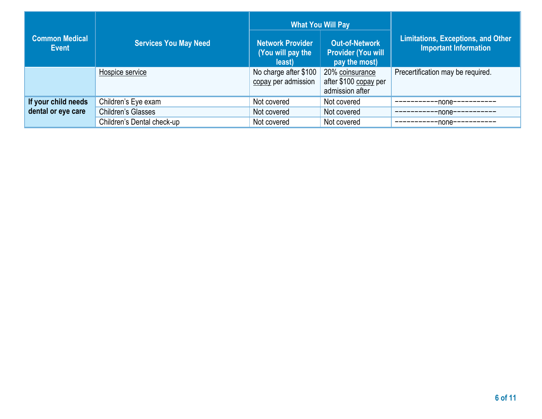| <b>Common Medical</b><br>Event | <b>Services You May Need</b> | Network Provider<br>(You will pay the<br>least) | <b>What You Will Pay</b><br><b>Out-of-Network</b><br><b>Provider (You will</b><br>pay the most) | <b>Limitations, Exceptions, and Other</b><br><b>Important Information</b> |
|--------------------------------|------------------------------|-------------------------------------------------|-------------------------------------------------------------------------------------------------|---------------------------------------------------------------------------|
|                                | Hospice service              | No charge after \$100<br>copay per admission    | 20% coinsurance<br>after \$100 copay per<br>admission after                                     | Precertification may be required.                                         |
| If your child needs            | Children's Eye exam          | Not covered                                     | Not covered                                                                                     | -none-                                                                    |
| dental or eye care             | <b>Children's Glasses</b>    | Not covered                                     | Not covered                                                                                     | -none-·                                                                   |
|                                | Children's Dental check-up   | Not covered                                     | Not covered                                                                                     | -none-                                                                    |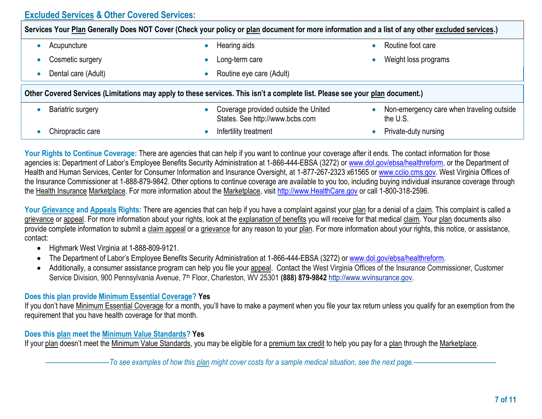# **Excluded Services & Other Covered Services:**

| Services Your Plan Generally Does NOT Cover (Check your policy or plan document for more information and a list of any other excluded services.) |  |                                                                         |  |                                                       |
|--------------------------------------------------------------------------------------------------------------------------------------------------|--|-------------------------------------------------------------------------|--|-------------------------------------------------------|
| Acupuncture                                                                                                                                      |  | Hearing aids                                                            |  | Routine foot care                                     |
| Cosmetic surgery                                                                                                                                 |  | Long-term care                                                          |  | Weight loss programs                                  |
| Dental care (Adult)                                                                                                                              |  | Routine eye care (Adult)                                                |  |                                                       |
| Other Covered Services (Limitations may apply to these services. This isn't a complete list. Please see your plan document.)                     |  |                                                                         |  |                                                       |
| Bariatric surgery                                                                                                                                |  | Coverage provided outside the United<br>States. See http://www.bcbs.com |  | Non-emergency care when traveling outside<br>the U.S. |
| Chiropractic care                                                                                                                                |  | Infertility treatment                                                   |  | Private-duty nursing                                  |

Your Rights to Continue Coverage: There are agencies that can help if you want to continue your coverage after it ends. The contact information for those agencies is: Department of Labor's Employee Benefits Security Administration at 1-866-444-EBSA (3272) o[r www.dol.gov/ebsa/healthreform,](http://www.dol.gov/ebsa/healthreform) or the Department of Health and Human Services, Center for Consumer Information and Insurance Oversight, at 1-877-267-2323 x61565 or [www.cciio.cms.gov.](http://www.cciio.cms.gov/) West Virginia Offices of the Insurance Commissioner at 1-888-879-9842. Other options to continue coverage are available to you too, including buying individual insurance coverage through the Health Insurance Marketplace. For more information about the Marketplace, visit [http://www.HealthCare.gov](http://www.healthcare.gov/) or call 1-800-318-2596.

Your Grievance and Appeals Rights: There are agencies that can help if you have a complaint against your plan for a denial of a claim. This complaint is called a grievance or appeal. For more information about your rights, look at the explanation of benefits you will receive for that medical claim. Your plan documents also provide complete information to submit a claim appeal or a grievance for any reason to your plan. For more information about your rights, this notice, or assistance, contact:

- Highmark West Virginia at 1-888-809-9121.
- The Department of Labor's Employee Benefits Security Administration at 1-866-444-EBSA (3272) o[r www.dol.gov/ebsa/healthreform.](http://www.dol.gov/ebsa/healthreform)
- Additionally, a consumer assistance program can help you file your appeal. Contact the West Virginia Offices of the Insurance Commissioner, Customer Service Division, 900 Pennsylvania Avenue, 7th Floor, Charleston, WV 25301 **(888) 879-9842** [http://www.wvinsurance.gov.](http://www.wvinsurance.gov/)

#### **Does this plan provide Minimum Essential Coverage? Yes**

If you don't have Minimum Essential Coverage for a month, you'll have to make a payment when you file your tax return unless you qualify for an exemption from the requirement that you have health coverage for that month.

#### **Does this plan meet the Minimum Value Standards? Yes**

If your plan doesn't meet the Minimum Value Standards, you may be eligible for a premium tax credit to help you pay for a plan through the Marketplace.

–––––––––––––––––*To see examples of how this plan might cover costs for a sample medical situation, see the next page.–––––––––––*–––––––––––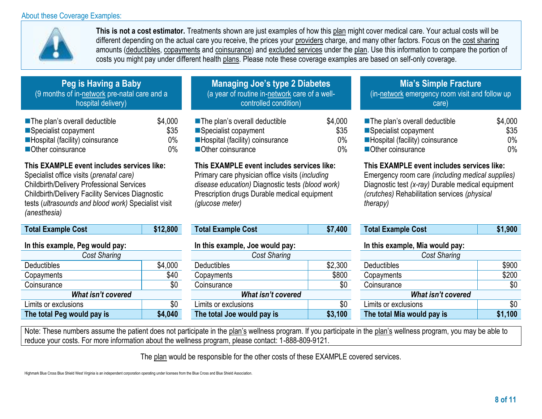## About these Coverage Examples:



**This is not a cost estimator.** Treatments shown are just examples of how this plan might cover medical care. Your actual costs will be different depending on the actual care you receive, the prices your providers charge, and many other factors. Focus on the cost sharing amounts (deductibles, copayments and coinsurance) and excluded services under the plan. Use this information to compare the portion of costs you might pay under different health plans. Please note these coverage examples are based on self-only coverage.

| Peg is Having a Baby'                        |
|----------------------------------------------|
| (9 months of in-network pre-natal care and a |
| hospital delivery)                           |
|                                              |

| The plan's overall deductible     | \$4,000 |
|-----------------------------------|---------|
| Specialist copayment              | \$35    |
| ■ Hospital (facility) coinsurance | $0\%$   |
| Other coinsurance                 | $0\%$   |

# **This EXAMPLE event includes services like:**

Specialist office visits (*prenatal care)*  Childbirth/Delivery Professional Services Childbirth/Delivery Facility Services Diagnostic tests (*ultrasounds and blood work)* Specialist visit *(anesthesia)*

| Total Example Cost              | \$12,800 |  |  |  |
|---------------------------------|----------|--|--|--|
| In this example, Peg would pay: |          |  |  |  |
| Cost Sharing                    |          |  |  |  |
| Deductibles                     | \$4,000  |  |  |  |
| Copayments                      | \$40     |  |  |  |
| Coinsurance                     | \$0      |  |  |  |
| <b>What isn't covered</b>       |          |  |  |  |
| Limits or exclusions            | \$0      |  |  |  |
| The total Peg would pay is      | \$4,040  |  |  |  |

### **Managing Joe's type 2 Diabetes** (a year of routine in-network care of a wellcontrolled condition)

■The plan's overall deductible Specialist copayment **Hospital (facility) coinsurance** ■Other coinsurance \$4,000 \$35 0% 0%

#### **This EXAMPLE event includes services like:**

Primary care physician office visits (*including disease education)* Diagnostic tests *(blood work)*  Prescription drugs Durable medical equipment *(glucose meter)*

| <b>Total Example Cost</b>       | \$7,400 |
|---------------------------------|---------|
| In this example, Joe would pay: |         |
|                                 |         |

| Cost Sharing               |         | Cost Sharing               |         | Cost Sharing               |         |
|----------------------------|---------|----------------------------|---------|----------------------------|---------|
| <b>Deductibles</b>         | \$4,000 | <b>Deductibles</b>         | \$2,300 | <b>Deductibles</b>         | \$900   |
| Copayments                 | \$40    | Copayments                 | \$800   | Copayments                 | \$200   |
| Coinsurance                | \$0     | Coinsurance                | \$0     | Coinsurance                | \$0     |
| What isn't covered         |         | What isn't covered         |         | What isn't covered         |         |
| Limits or exclusions       | \$0     | Limits or exclusions       | \$0     | Limits or exclusions       | \$0     |
| The total Peg would pay is | \$4,040 | The total Joe would pay is | \$3,100 | The total Mia would pay is | \$1,100 |
|                            |         |                            |         |                            |         |

# **Mia's Simple Fracture**

(in-network emergency room visit and follow up care)

| ■ The plan's overall deductible | \$4,000 |
|---------------------------------|---------|
| ■Specialist copayment           | \$35    |
| Hospital (facility) coinsurance | $0\%$   |
| Other coinsurance               | $0\%$   |

# **This EXAMPLE event includes services like:**

Emergency room care *(including medical supplies)*  Diagnostic test *(x-ray)* Durable medical equipment *(crutches)* Rehabilitation services *(physical therapy)*

| <b>Total Example Cost</b> | \$12,800 | <b>Total Example Cost</b> | \$7,400 | <b>Total Example Cost</b> | 1,900 |
|---------------------------|----------|---------------------------|---------|---------------------------|-------|

#### **In this example, Mia would pay:**

| <b>Cost Sharing</b>        |         |  |  |  |
|----------------------------|---------|--|--|--|
| <b>Deductibles</b>         | \$900   |  |  |  |
| Copayments                 | \$200   |  |  |  |
| Coinsurance                | \$0     |  |  |  |
| What isn't covered         |         |  |  |  |
| Limits or exclusions       | \$0     |  |  |  |
| The total Mia would pay is | \$1,100 |  |  |  |

Note: These numbers assume the patient does not participate in the plan's wellness program. If you participate in the plan's wellness program, you may be able to reduce your costs. For more information about the wellness program, please contact: 1-888-809-9121.

The plan would be responsible for the other costs of these EXAMPLE covered services.

Highmark Blue Cross Blue Shield West Virginia is an independent corporation operating under licenses from the Blue Cross and Blue Shield Association.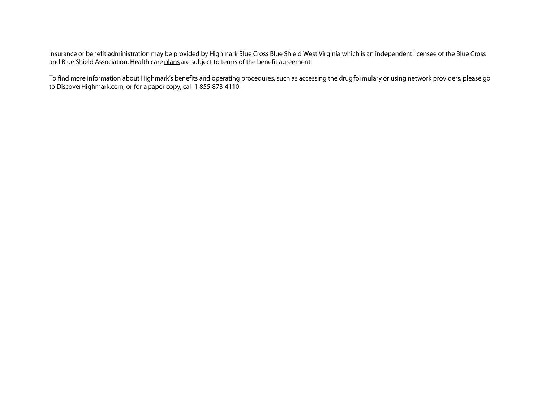Insurance or benefit administration may be provided by Highmark Blue Cross Blue Shield West Virginia which is an independent licensee of the Blue Cross and Blue Cross and Blue Shield Association. Health care plans are subj

To find more information about Highmark's benefits and operating procedures, such as accessing the drug formulary or using network providers, please go to DiscoverHighmark.com; or for a paper copy, call 1-855-873-4110.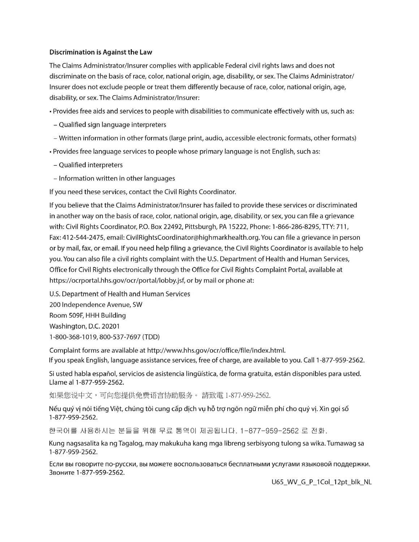#### **Discrimination is Against the Law**

The Claims Administrator/Insurer complies with applicable Federal civil rights laws and does not discriminate on the basis of race, color, national origin, age, disability, or sex. The Claims Administrator/ Insurer does not exclude people or treat them differently because of race, color, national origin, age, disability, or sex. The Claims Administrator/Insurer:

- · Provides free aids and services to people with disabilities to communicate effectively with us, such as:
- Qualified sign language interpreters
- Written information in other formats (large print, audio, accessible electronic formats, other formats)
- Provides free language services to people whose primary language is not English, such as:
- Qualified interpreters
- Information written in other languages

If you need these services, contact the Civil Rights Coordinator.

If you believe that the Claims Administrator/Insurer has failed to provide these services or discriminated in another way on the basis of race, color, national origin, age, disability, or sex, you can file a grievance with: Civil Rights Coordinator, P.O. Box 22492, Pittsburgh, PA 15222, Phone: 1-866-286-8295, TTY: 711, Fax: 412-544-2475, email: CivilRightsCoordinator@highmarkhealth.org. You can file a grievance in person or by mail, fax, or email. If you need help filing a grievance, the Civil Rights Coordinator is available to help you. You can also file a civil rights complaint with the U.S. Department of Health and Human Services, Office for Civil Rights electronically through the Office for Civil Rights Complaint Portal, available at https://ocrportal.hhs.gov/ocr/portal/lobby.jsf, or by mail or phone at:

U.S. Department of Health and Human Services 200 Independence Avenue, SW Room 509F, HHH Building Washington, D.C. 20201 1-800-368-1019, 800-537-7697 (TDD)

Complaint forms are available at http://www.hhs.gov/ocr/office/file/index.html. If you speak English, language assistance services, free of charge, are available to you. Call 1-877-959-2562.

Si usted habla español, servicios de asistencia lingüística, de forma gratuita, están disponibles para usted. Llame al 1-877-959-2562.

如果您说中文,可向您提供免费语言协助服务。 請致電 1-877-959-2562.

Nếu quý vị nói tiếng Việt, chúng tôi cung cấp dịch vụ hỗ trợ ngôn ngữ miễn phí cho quý vị. Xin gọi số 1-877-959-2562.

한국어를 사용하시는 분들을 위해 무료 통역이 제공됩니다. 1-877-959-2562 로 전화.

Kung nagsasalita ka ng Tagalog, may makukuha kang mga libreng serbisyong tulong sa wika. Tumawag sa 1-877-959-2562.

Если вы говорите по-русски, вы можете воспользоваться бесплатными услугами языковой поддержки. Звоните 1-877-959-2562.

U65\_WV\_G\_P\_1Col\_12pt\_blk\_NL